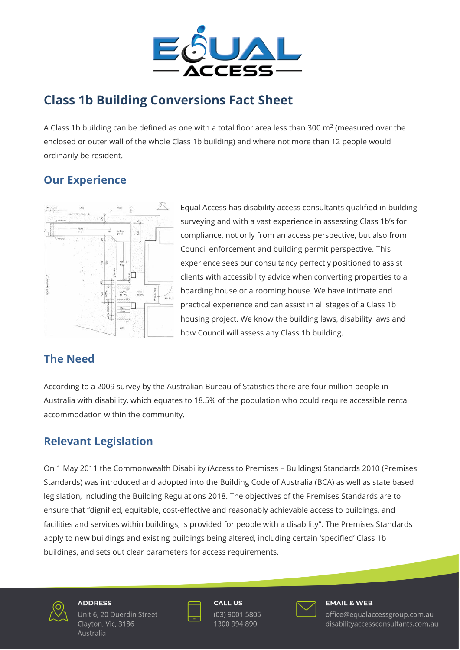

# **Class 1b Building Conversions Fact Sheet**

A Class 1b building can be defined as one with a total floor area less than 300 m<sup>2</sup> (measured over the enclosed or outer wall of the whole Class 1b building) and where not more than 12 people would ordinarily be resident.

### **Our Experience**



Equal Access has disability access consultants qualified in building surveying and with a vast experience in assessing Class 1b's for compliance, not only from an access perspective, but also from Council enforcement and building permit perspective. This experience sees our consultancy perfectly positioned to assist clients with accessibility advice when converting properties to a boarding house or a rooming house. We have intimate and practical experience and can assist in all stages of a Class 1b housing project. We know the building laws, disability laws and how Council will assess any Class 1b building.

### **The Need**

According to a 2009 survey by the Australian Bureau of Statistics there are four million people in Australia with disability, which equates to 18.5% of the population who could require accessible rental accommodation within the community.

## **Relevant Legislation**

On 1 May 2011 the Commonwealth Disability (Access to Premises – Buildings) Standards 2010 (Premises Standards) was introduced and adopted into the Building Code of Australia (BCA) as well as state based legislation, including the Building Regulations 2018. The objectives of the Premises Standards are to ensure that "dignified, equitable, cost-effective and reasonably achievable access to buildings, and facilities and services within buildings, is provided for people with a disability". The Premises Standards apply to new buildings and existing buildings being altered, including certain 'specified' Class 1b buildings, and sets out clear parameters for access requirements.



#### **ADDRESS** Unit 6, 20 Duerdin Street Clayton, Vic, 3186

Australia



**CALL US** (03) 9001 5805 1300 994 890



#### **EMAIL & WEB**

office@equalaccessgroup.com.au disabilityaccessconsultants.com.au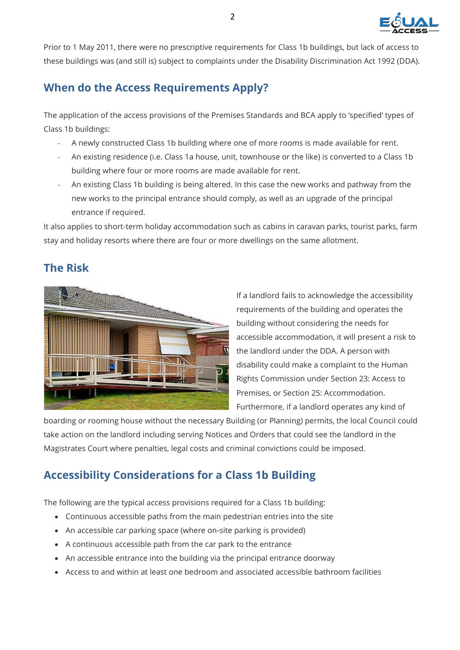

Prior to 1 May 2011, there were no prescriptive requirements for Class 1b buildings, but lack of access to these buildings was (and still is) subject to complaints under the Disability Discrimination Act 1992 (DDA).

### **When do the Access Requirements Apply?**

The application of the access provisions of the Premises Standards and BCA apply to 'specified' types of Class 1b buildings:

- A newly constructed Class 1b building where one of more rooms is made available for rent.
- An existing residence (i.e. Class 1a house, unit, townhouse or the like) is converted to a Class 1b building where four or more rooms are made available for rent.
- An existing Class 1b building is being altered. In this case the new works and pathway from the new works to the principal entrance should comply, as well as an upgrade of the principal entrance if required.

It also applies to short-term holiday accommodation such as cabins in caravan parks, tourist parks, farm stay and holiday resorts where there are four or more dwellings on the same allotment.

### **The Risk**



If a landlord fails to acknowledge the accessibility requirements of the building and operates the building without considering the needs for accessible accommodation, it will present a risk to the landlord under the DDA. A person with disability could make a complaint to the Human Rights Commission under Section 23: Access to Premises, or Section 25: Accommodation. Furthermore, if a landlord operates any kind of

boarding or rooming house without the necessary Building (or Planning) permits, the local Council could take action on the landlord including serving Notices and Orders that could see the landlord in the Magistrates Court where penalties, legal costs and criminal convictions could be imposed.

## **Accessibility Considerations for a Class 1b Building**

The following are the typical access provisions required for a Class 1b building:

- Continuous accessible paths from the main pedestrian entries into the site
- An accessible car parking space (where on-site parking is provided)
- A continuous accessible path from the car park to the entrance
- An accessible entrance into the building via the principal entrance doorway
- Access to and within at least one bedroom and associated accessible bathroom facilities